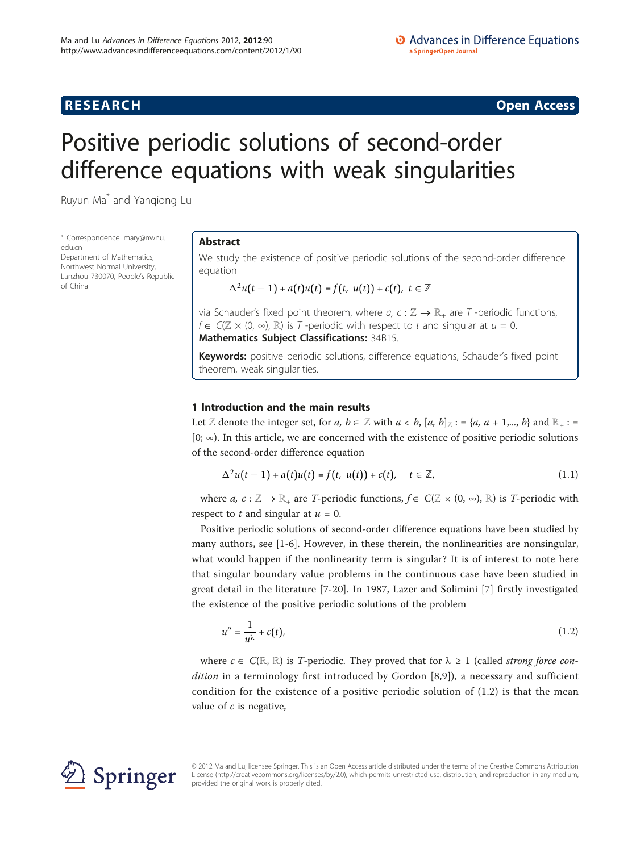## **RESEARCH CONSTRUCTION CONSTRUCTS**

# Positive periodic solutions of second-order difference equations with weak singularities

Ruyun Ma\* and Yanqiong Lu

\* Correspondence: [mary@nwnu.](mailto:mary@nwnu.edu.cn) [edu.cn](mailto:mary@nwnu.edu.cn) Department of Mathematics, Northwest Normal University, Lanzhou 730070, People's Republic of China

## Abstract

We study the existence of positive periodic solutions of the second-order difference equation

$$
\Delta^2 u(t-1) + a(t)u(t) = f(t, u(t)) + c(t), t \in \mathbb{Z}
$$

via Schauder's fixed point theorem, where  $a, c : \mathbb{Z} \to \mathbb{R}_+$  are  $T$  -periodic functions,  $f \in C(\mathbb{Z} \times (0, \infty), \mathbb{R})$  is T-periodic with respect to t and singular at  $u = 0$ . Mathematics Subject Classifications: 34B15.

Keywords: positive periodic solutions, difference equations, Schauder's fixed point theorem, weak singularities.

## 1 Introduction and the main results

Let Z denote the integer set, for a,  $b \in \mathbb{Z}$  with  $a < b$ ,  $[a, b]_Z := \{a, a + 1, ..., b\}$  and  $\mathbb{R}_+ :=$  $[0; \infty)$ . In this article, we are concerned with the existence of positive periodic solutions of the second-order difference equation

$$
\Delta^2 u(t-1) + a(t)u(t) = f(t, u(t)) + c(t), \quad t \in \mathbb{Z},
$$
\n(1.1)

where  $a, c: \mathbb{Z} \to \mathbb{R}_+$  are T-periodic functions,  $f \in C(\mathbb{Z} \times (0, \infty), \mathbb{R})$  is T-periodic with respect to  $t$  and singular at  $u = 0$ .

Positive periodic solutions of second-order difference equations have been studied by many authors, see [\[1](#page-9-0)-[6\]](#page-9-0). However, in these therein, the nonlinearities are nonsingular, what would happen if the nonlinearity term is singular? It is of interest to note here that singular boundary value problems in the continuous case have been studied in great detail in the literature [[7-](#page-9-0)[20](#page-10-0)]. In 1987, Lazer and Solimini [\[7](#page-9-0)] firstly investigated the existence of the positive periodic solutions of the problem

$$
u'' = \frac{1}{u^{\lambda}} + c(t),\tag{1.2}
$$

where  $c \in C(\mathbb{R}, \mathbb{R})$  is T-periodic. They proved that for  $\lambda \ge 1$  (called *strong force con*-dition in a terminology first introduced by Gordon [[8](#page-9-0),[9\]](#page-9-0)), a necessary and sufficient condition for the existence of a positive periodic solution of (1.2) is that the mean value of  $c$  is negative,



© 2012 Ma and Lu; licensee Springer. This is an Open Access article distributed under the terms of the Creative Commons Attribution License [\(http://creativecommons.org/licenses/by/2.0](http://creativecommons.org/licenses/by/2.0)), which permits unrestricted use, distribution, and reproduction in any medium, provided the original work is properly cited.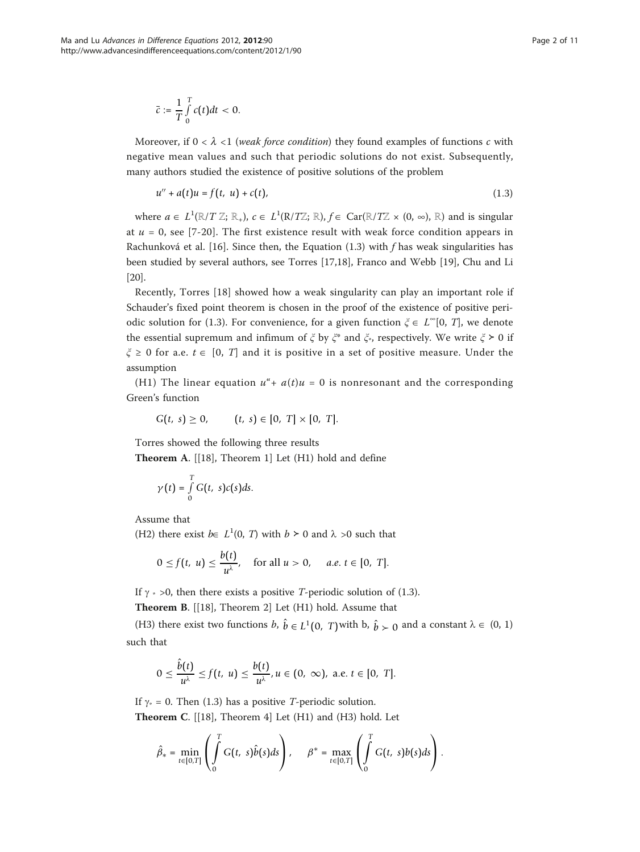$$
\bar{c} := \frac{1}{T} \int\limits_0^T c(t) dt < 0.
$$

Moreover, if  $0 < \lambda < 1$  (weak force condition) they found examples of functions c with negative mean values and such that periodic solutions do not exist. Subsequently, many authors studied the existence of positive solutions of the problem

$$
u'' + a(t)u = f(t, u) + c(t),
$$
\n(1.3)

where  $a \in L^1(\mathbb{R}/T\mathbb{Z}; \mathbb{R})$ ,  $c \in L^1(\mathbb{R}/T\mathbb{Z}; \mathbb{R})$ ,  $f \in \text{Car}(\mathbb{R}/T\mathbb{Z} \times (0, \infty), \mathbb{R})$  and is singular at  $u = 0$ , see [[7-](#page-9-0)[20\]](#page-10-0). The first existence result with weak force condition appears in Rachunková et al. [[16](#page-10-0)]. Since then, the Equation (1.3) with  $f$  has weak singularities has been studied by several authors, see Torres [[17,18\]](#page-10-0), Franco and Webb [\[19](#page-10-0)], Chu and Li [[20\]](#page-10-0).

Recently, Torres [[18\]](#page-10-0) showed how a weak singularity can play an important role if Schauder's fixed point theorem is chosen in the proof of the existence of positive periodic solution for (1.3). For convenience, for a given function  $\xi \in L^{\infty}[0, T]$ , we denote the essential supremum and infimum of  $\xi$  by  $\xi^*$  and  $\xi^*$ , respectively. We write  $\xi > 0$  if  $\xi \ge 0$  for a.e.  $t \in [0, T]$  and it is positive in a set of positive measure. Under the assumption

(H1) The linear equation  $u^* + a(t)u = 0$  is nonresonant and the corresponding Green's function

$$
G(t, s) \geq 0, \qquad (t, s) \in [0, T] \times [0, T].
$$

Torres showed the following three results

Theorem A. [[[18\]](#page-10-0), Theorem 1] Let (H1) hold and define

$$
\gamma(t) = \int\limits_0^T G(t, s)c(s)ds.
$$

Assume that

(H2) there exist  $b \in L^1(0, T)$  with  $b \ge 0$  and  $\lambda > 0$  such that

$$
0 \le f(t, u) \le \frac{b(t)}{u^{\lambda}}, \quad \text{for all } u > 0, \quad a.e. \ t \in [0, T].
$$

If  $\gamma$   $\rightarrow$  >0, then there exists a positive *T*-periodic solution of (1.3).

Theorem B. [[\[18\]](#page-10-0), Theorem 2] Let (H1) hold. Assume that

(H3) there exist two functions  $b, \hat{b} \in L^1(0, T)$  with  $b, \hat{b} \succ 0$  and a constant  $\lambda \in (0, 1)$ such that

$$
0 \leq \frac{\hat{b}(t)}{u^{\lambda}} \leq f(t, u) \leq \frac{b(t)}{u^{\lambda}}, u \in (0, \infty), \text{ a.e. } t \in [0, T].
$$

If  $\gamma$  = 0. Then (1.3) has a positive *T*-periodic solution.

**Theorem C.** [[[18](#page-10-0)], Theorem 4] Let  $(H1)$  and  $(H3)$  hold. Let

$$
\hat{\beta}_* = \min_{t \in [0,T]} \left( \int_0^T G(t, s) \hat{b}(s) ds \right), \quad \beta^* = \max_{t \in [0,T]} \left( \int_0^T G(t, s) b(s) ds \right).
$$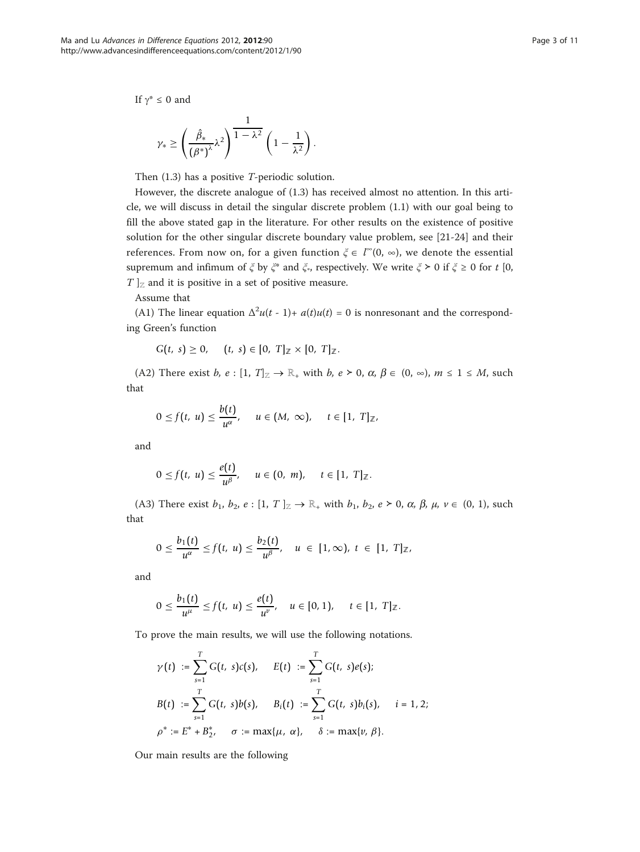If  $\gamma^* \leq 0$  and

$$
\gamma_* \geq \left(\frac{\hat{\beta}_*}{\left(\beta^*\right)^\lambda} \lambda^2\right)^{\tfrac{1}{1-\lambda^2}} \left(1-\frac{1}{\lambda^2}\right).
$$

Then (1.3) has a positive T-periodic solution.

However, the discrete analogue of (1.3) has received almost no attention. In this article, we will discuss in detail the singular discrete problem (1.1) with our goal being to fill the above stated gap in the literature. For other results on the existence of positive solution for the other singular discrete boundary value problem, see [[21-24](#page-10-0)] and their references. From now on, for a given function  $\xi \in l^{\infty}(0, \infty)$ , we denote the essential<br>we assume that is formed in function  $\xi$  is the state of  $\xi$  is the state of  $\xi$  is the state of  $\xi$  is the state of  $\eta$ supremum and infimum of  $\xi$  by  $\xi^*$  and  $\xi^*$ , respectively. We write  $\xi > 0$  if  $\xi \ge 0$  for t [0,  $T \mid_{\mathbb{Z}}$  and it is positive in a set of positive measure.

Assume that

(A1) The linear equation  $\Delta^2 u(t-1) + a(t)u(t) = 0$  is nonresonant and the corresponding Green's function

$$
G(t, s) \geq 0, \quad (t, s) \in [0, T]_{\mathbb{Z}} \times [0, T]_{\mathbb{Z}}.
$$

(A2) There exist b,  $e : [1, T]_{\mathbb{Z}} \to \mathbb{R}_+$  with b,  $e \succ 0$ ,  $\alpha$ ,  $\beta \in (0, \infty)$ ,  $m \le 1 \le M$ , such that

$$
0 \le f(t, u) \le \frac{b(t)}{u^{\alpha}}, \quad u \in (M, \infty), \quad t \in [1, T]_{\mathbb{Z}},
$$

and

$$
0\leq f(t,\ u)\leq \frac{e(t)}{u^{\beta}},\quad u\in(0,\ m),\quad t\in[1,\ T]_{\mathbb{Z}}.
$$

(A3) There exist  $b_1, b_2, e : [1, T]_\mathbb{Z} \to \mathbb{R}_+$  with  $b_1, b_2, e \succ 0, \alpha, \beta, \mu, \nu \in (0, 1)$ , such that

$$
0 \leq \frac{b_1(t)}{u^{\alpha}} \leq f(t, u) \leq \frac{b_2(t)}{u^{\beta}}, \quad u \in [1, \infty), t \in [1, T]_{\mathbb{Z}},
$$

and

$$
0 \leq \frac{b_1(t)}{u^{\mu}} \leq f(t, u) \leq \frac{e(t)}{u^{\nu}}, \quad u \in [0, 1), \quad t \in [1, T]_{\mathbb{Z}}.
$$

To prove the main results, we will use the following notations.

$$
\gamma(t) := \sum_{s=1}^{T} G(t, s)c(s), \quad E(t) := \sum_{s=1}^{T} G(t, s)e(s);
$$
  
\n
$$
B(t) := \sum_{s=1}^{T} G(t, s)b(s), \quad B_i(t) := \sum_{s=1}^{T} G(t, s)b_i(s), \quad i = 1, 2;
$$
  
\n
$$
\rho^* := E^* + B_{2}^*, \quad \sigma := \max\{\mu, \alpha\}, \quad \delta := \max\{\nu, \beta\}.
$$

Our main results are the following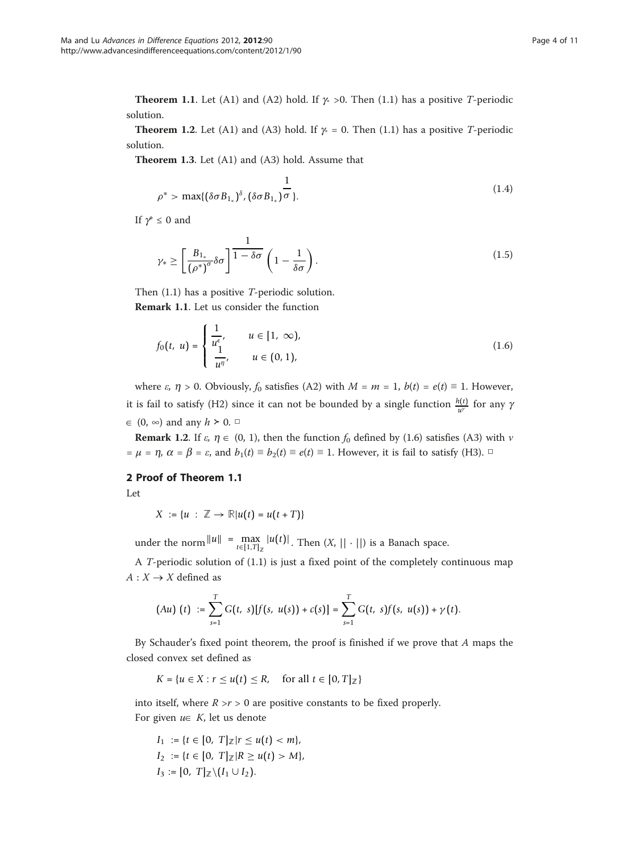**Theorem 1.1.** Let (A1) and (A2) hold. If  $\gamma \ge 0$ . Then (1.1) has a positive T-periodic solution.

**Theorem 1.2.** Let (A1) and (A3) hold. If  $\gamma = 0$ . Then (1.1) has a positive T-periodic solution.

Theorem 1.3. Let (A1) and (A3) hold. Assume that

$$
\rho^* > \max\{(\delta \sigma B_{1_*})^{\delta}, (\delta \sigma B_{1_*})^{\sigma}\}.
$$
\n(1.4)

If  $\gamma^* \leq 0$  and

$$
\gamma_* \ge \left[ \frac{B_{1_*}}{(\rho^*)^{\sigma}} \delta \sigma \right] \frac{1}{1 - \delta \sigma} \left( 1 - \frac{1}{\delta \sigma} \right). \tag{1.5}
$$

Then (1.1) has a positive T-periodic solution. Remark 1.1. Let us consider the function

$$
\begin{pmatrix} 1 & \cdots & 1 & 1 & 1 & 1 \\ 1 & \cdots & 1 & 1 & 1 & 1 & 1 \end{pmatrix}
$$

$$
f_0(t, u) = \begin{cases} \frac{1}{u^{\epsilon}}, & u \in [1, \infty), \\ \frac{1}{u^{\eta}}, & u \in (0, 1), \end{cases}
$$
 (1.6)

where  $\varepsilon$ ,  $\eta > 0$ . Obviously,  $f_0$  satisfies (A2) with  $M = m = 1$ ,  $b(t) = e(t) \equiv 1$ . However, it is fail to satisfy (H2) since it can not be bounded by a single function  $\frac{h(t)}{u^{\gamma}}$  for any  $\gamma$  $\in$  (0, ∞) and any  $h \geq 0$ . □

**Remark 1.2.** If  $\varepsilon$ ,  $\eta \in (0, 1)$ , then the function  $f_0$  defined by (1.6) satisfies (A3) with *v* =  $\mu$  =  $\eta$ ,  $\alpha$  =  $\beta$  =  $\varepsilon$ , and  $b_1(t) \equiv b_2(t) \equiv e(t) \equiv 1$ . However, it is fail to satisfy (H3).  $\Box$ 

## 2 Proof of Theorem 1.1

Let

$$
X := \{u : \mathbb{Z} \to \mathbb{R} | u(t) = u(t+T) \}
$$

under the norm  $||u|| = \max_{t \in [1,T]_Z} |u(t)|$ . Then  $(X, || \cdot ||)$  is a Banach space.

A T-periodic solution of (1.1) is just a fixed point of the completely continuous map  $A: X \rightarrow X$  defined as

$$
(Au) (t) := \sum_{s=1}^{T} G(t, s)[f(s, u(s)) + c(s)] = \sum_{s=1}^{T} G(t, s)f(s, u(s)) + \gamma(t).
$$

By Schauder's fixed point theorem, the proof is finished if we prove that A maps the closed convex set defined as

$$
K = \{ u \in X : r \le u(t) \le R, \quad \text{for all } t \in [0, T]_{\mathbb{Z}} \}
$$

into itself, where  $R > r > 0$  are positive constants to be fixed properly. For given  $u \in K$ , let us denote

$$
I_1 := \{t \in [0, T]_{\mathbb{Z}} | r \le u(t) < m\},
$$
\n
$$
I_2 := \{t \in [0, T]_{\mathbb{Z}} | R \ge u(t) > M\},
$$
\n
$$
I_3 := [0, T]_{\mathbb{Z}} \setminus (I_1 \cup I_2).
$$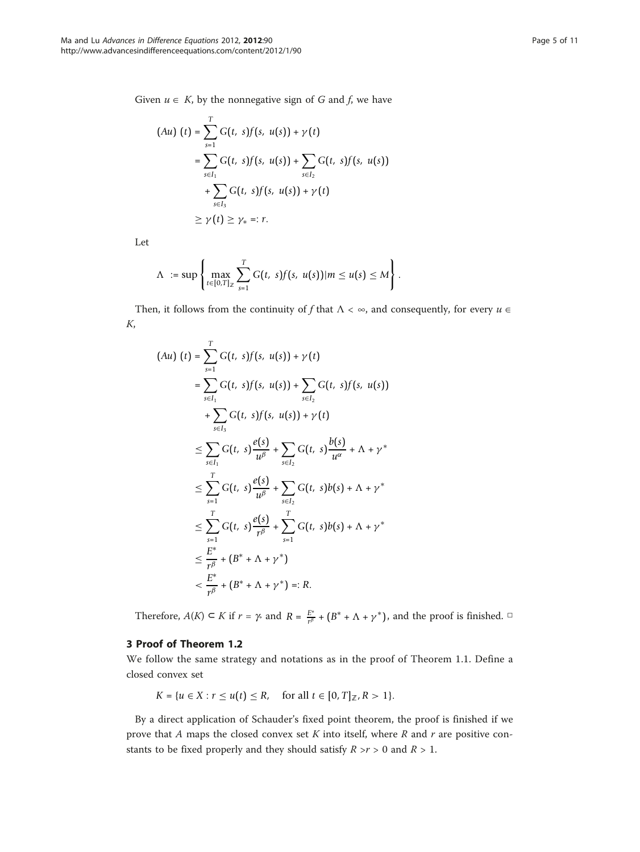Given  $u \in K$ , by the nonnegative sign of G and f, we have

$$
(Au) (t) = \sum_{s=1}^{T} G(t, s) f(s, u(s)) + \gamma(t)
$$
  
= 
$$
\sum_{s \in I_1} G(t, s) f(s, u(s)) + \sum_{s \in I_2} G(t, s) f(s, u(s))
$$
  
+ 
$$
\sum_{s \in I_3} G(t, s) f(s, u(s)) + \gamma(t)
$$
  

$$
\geq \gamma(t) \geq \gamma_* =: r.
$$

Let

$$
\Lambda := \sup \left\{ \max_{t \in [0,T]_Z} \sum_{s=1}^T G(t, s) f(s, u(s)) | m \le u(s) \le M \right\}.
$$

Then, it follows from the continuity of f that  $\Lambda < \infty$ , and consequently, for every  $u \in \Lambda$ K,

$$
(Au) (t) = \sum_{s=1}^{T} G(t, s) f(s, u(s)) + \gamma(t)
$$
  
\n
$$
= \sum_{s \in I_1} G(t, s) f(s, u(s)) + \sum_{s \in I_2} G(t, s) f(s, u(s))
$$
  
\n
$$
+ \sum_{s \in I_3} G(t, s) f(s, u(s)) + \gamma(t)
$$
  
\n
$$
\leq \sum_{s \in I_1} G(t, s) \frac{e(s)}{u^{\beta}} + \sum_{s \in I_2} G(t, s) \frac{b(s)}{u^{\alpha}} + \Lambda + \gamma^*
$$
  
\n
$$
\leq \sum_{s=1}^{T} G(t, s) \frac{e(s)}{u^{\beta}} + \sum_{s \in I_2} G(t, s) b(s) + \Lambda + \gamma^*
$$
  
\n
$$
\leq \sum_{s=1}^{T} G(t, s) \frac{e(s)}{r^{\beta}} + \sum_{s=1}^{T} G(t, s) b(s) + \Lambda + \gamma^*
$$
  
\n
$$
\leq \frac{E^*}{r^{\beta}} + (B^* + \Lambda + \gamma^*)
$$
  
\n
$$
< \frac{E^*}{r^{\beta}} + (B^* + \Lambda + \gamma^*) =: R.
$$

Therefore,  $A(K) \subset K$  if  $r = \gamma$  and  $R = \frac{E^*}{r^{\beta}} + (B^* + \Lambda + \gamma^*)$ , and the proof is finished.  $\Box$ 

## 3 Proof of Theorem 1.2

We follow the same strategy and notations as in the proof of Theorem 1.1. Define a closed convex set

$$
K = \{ u \in X : r \le u(t) \le R, \text{ for all } t \in [0, T]_{\mathbb{Z}}, R > 1 \}.
$$

By a direct application of Schauder's fixed point theorem, the proof is finished if we prove that A maps the closed convex set K into itself, where  $R$  and  $r$  are positive constants to be fixed properly and they should satisfy  $R > r > 0$  and  $R > 1$ .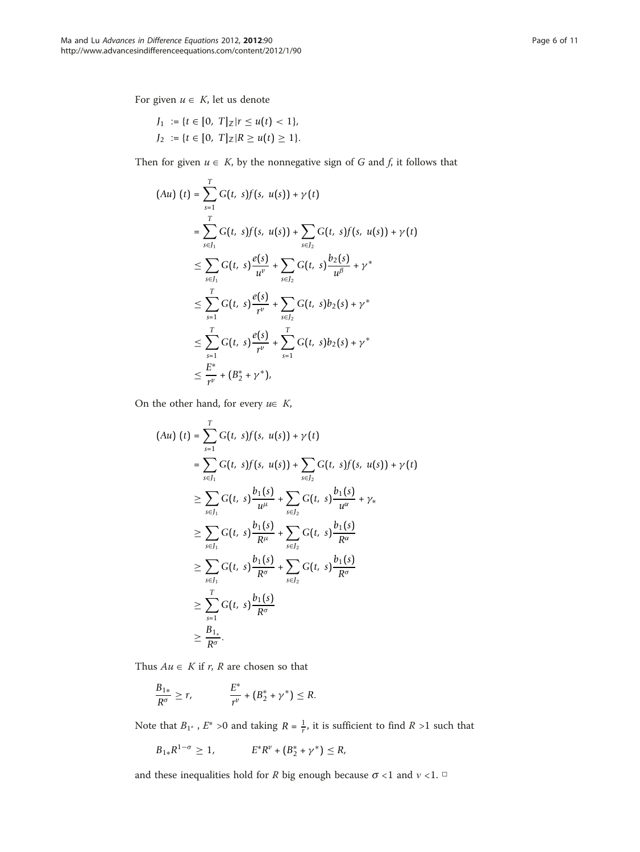For given  $u \in K$ , let us denote

$$
J_1 := \{t \in [0, T]_{\mathbb{Z}} | r \le u(t) < 1\},
$$
\n
$$
J_2 := \{t \in [0, T]_{\mathbb{Z}} | R \ge u(t) \ge 1\}.
$$

Then for given  $u \in K$ , by the nonnegative sign of G and f, it follows that

$$
(Au) (t) = \sum_{s=1}^{T} G(t, s) f(s, u(s)) + \gamma(t)
$$
  
\n
$$
= \sum_{s \in J_1}^{T} G(t, s) f(s, u(s)) + \sum_{s \in J_2} G(t, s) f(s, u(s)) + \gamma(t)
$$
  
\n
$$
\leq \sum_{s \in J_1} G(t, s) \frac{e(s)}{u^v} + \sum_{s \in J_2} G(t, s) \frac{b_2(s)}{u^{\beta}} + \gamma^*
$$
  
\n
$$
\leq \sum_{s=1}^{T} G(t, s) \frac{e(s)}{r^v} + \sum_{s \in J_2} G(t, s) b_2(s) + \gamma^*
$$
  
\n
$$
\leq \sum_{s=1}^{T} G(t, s) \frac{e(s)}{r^v} + \sum_{s=1}^{T} G(t, s) b_2(s) + \gamma^*
$$
  
\n
$$
\leq \frac{E^*}{r^v} + (B_2^* + \gamma^*),
$$

On the other hand, for every  $u \in K$ ,

$$
(Au) (t) = \sum_{s=1}^{T} G(t, s) f(s, u(s)) + \gamma(t)
$$
  
\n
$$
= \sum_{s \in I_1} G(t, s) f(s, u(s)) + \sum_{s \in I_2} G(t, s) f(s, u(s)) + \gamma(t)
$$
  
\n
$$
\geq \sum_{s \in I_1} G(t, s) \frac{b_1(s)}{u^{\mu}} + \sum_{s \in I_2} G(t, s) \frac{b_1(s)}{u^{\alpha}} + \gamma_{*}
$$
  
\n
$$
\geq \sum_{s \in I_1} G(t, s) \frac{b_1(s)}{R^{\mu}} + \sum_{s \in I_2} G(t, s) \frac{b_1(s)}{R^{\alpha}}
$$
  
\n
$$
\geq \sum_{s \in I_1} G(t, s) \frac{b_1(s)}{R^{\sigma}} + \sum_{s \in I_2} G(t, s) \frac{b_1(s)}{R^{\sigma}}
$$
  
\n
$$
\geq \sum_{s=1}^{T} G(t, s) \frac{b_1(s)}{R^{\sigma}}
$$
  
\n
$$
\geq \frac{B_{1}}{R^{\sigma}}.
$$

Thus  $Au \in K$  if r, R are chosen so that

$$
\frac{B_{1*}}{R^{\sigma}} \geq r, \qquad \qquad \frac{E^*}{r^{\nu}} + (B_2^* + \gamma^*) \leq R.
$$

Note that  $B_{1^*}$ ,  $E^* > 0$  and taking  $R = \frac{1}{r}$ , it is sufficient to find  $R > 1$  such that

$$
B_{1*}R^{1-\sigma} \ge 1
$$
,  $E^*R^{\nu} + (B_2^* + \gamma^*) \le R$ ,

and these inequalities hold for  $R$  big enough because  $\sigma$  <1 and  $v$  <1.  $\Box$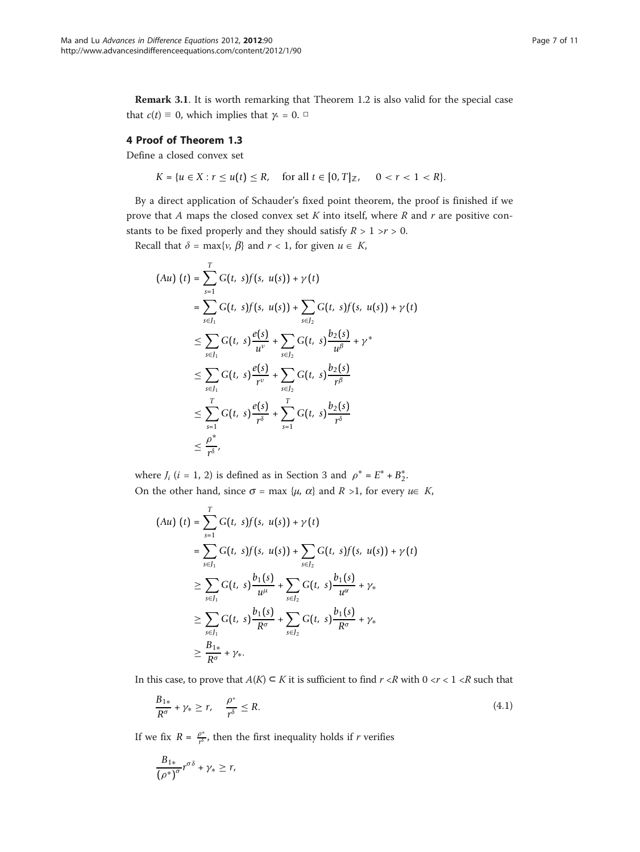Remark 3.1. It is worth remarking that Theorem 1.2 is also valid for the special case that  $c(t) \equiv 0$ , which implies that  $\gamma = 0$ .  $\Box$ 

## 4 Proof of Theorem 1.3

Define a closed convex set

$$
K = \{u \in X : r \le u(t) \le R, \quad \text{for all } t \in [0, T]_{\mathbb{Z}}, \quad 0 < r < 1 < R\}.
$$

By a direct application of Schauder's fixed point theorem, the proof is finished if we prove that A maps the closed convex set K into itself, where R and r are positive constants to be fixed properly and they should satisfy  $R > 1 \ge r > 0$ .

Recall that  $\delta = \max\{v, \beta\}$  and  $r < 1$ , for given  $u \in K$ ,

$$
(Au) (t) = \sum_{s=1}^{T} G(t, s) f(s, u(s)) + \gamma(t)
$$
  
\n
$$
= \sum_{s \in I_1} G(t, s) f(s, u(s)) + \sum_{s \in I_2} G(t, s) f(s, u(s)) + \gamma(t)
$$
  
\n
$$
\leq \sum_{s \in I_1} G(t, s) \frac{e(s)}{u^v} + \sum_{s \in I_2} G(t, s) \frac{b_2(s)}{u^{\beta}} + \gamma^*
$$
  
\n
$$
\leq \sum_{s \in I_1} G(t, s) \frac{e(s)}{r^v} + \sum_{s \in I_2} G(t, s) \frac{b_2(s)}{r^{\beta}}
$$
  
\n
$$
\leq \sum_{s=1}^{T} G(t, s) \frac{e(s)}{r^{\delta}} + \sum_{s=1}^{T} G(t, s) \frac{b_2(s)}{r^{\delta}}
$$
  
\n
$$
\leq \frac{\rho^*}{r^{\delta}},
$$

where  $J_i$  ( $i = 1, 2$ ) is defined as in Section 3 and  $\rho^* = E^* + B_2^*$ . On the other hand, since  $\sigma$  = max { $\mu$ ,  $\alpha$ } and  $R > 1$ , for every  $\mu \in K$ ,

$$
(Au) (t) = \sum_{s=1}^{T} G(t, s) f(s, u(s)) + \gamma(t)
$$
  
\n
$$
= \sum_{s \in I_1} G(t, s) f(s, u(s)) + \sum_{s \in I_2} G(t, s) f(s, u(s)) + \gamma(t)
$$
  
\n
$$
\geq \sum_{s \in I_1} G(t, s) \frac{b_1(s)}{u^{\mu}} + \sum_{s \in I_2} G(t, s) \frac{b_1(s)}{u^{\alpha}} + \gamma_{*}
$$
  
\n
$$
\geq \sum_{s \in I_1} G(t, s) \frac{b_1(s)}{R^{\sigma}} + \sum_{s \in I_2} G(t, s) \frac{b_1(s)}{R^{\sigma}} + \gamma_{*}
$$
  
\n
$$
\geq \frac{B_{1*}}{R^{\sigma}} + \gamma_{*}.
$$

In this case, to prove that  $A(K) \subset K$  it is sufficient to find  $r \prec R$  with 0  $\prec r < 1 \prec R$  such that

$$
\frac{B_{1*}}{R^{\sigma}} + \gamma_* \ge r, \quad \frac{\rho^*}{r^{\delta}} \le R. \tag{4.1}
$$

If we fix *R* =  $\frac{\rho^*}{r^{\delta}}$ , then the first inequality holds if *r* verifies

$$
\frac{B_{1*}}{\left(\rho^*\right)^\sigma}r^{\sigma\delta} + \gamma_* \geq r,
$$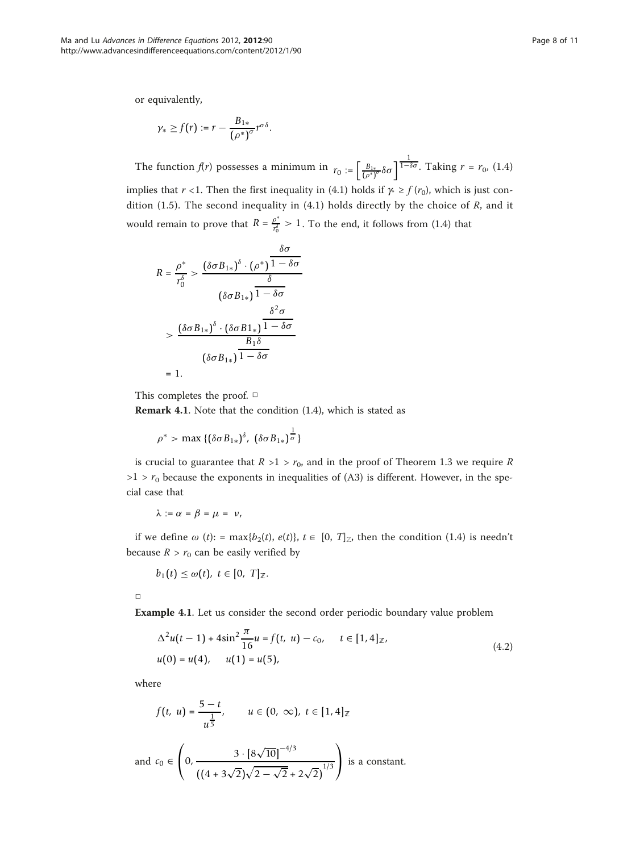or equivalently,

$$
\gamma_* \geq f(r) := r - \frac{B_{1*}}{(\rho^*)^{\sigma}} r^{\sigma \delta}.
$$

The function  $f(r)$  possesses a minimum in  $r_0 := \left[\frac{B_{1*}}{(p^*)^{\sigma}} \delta \sigma\right]^{\frac{1}{1-\delta \sigma}}$ . Taking  $r = r_0$ , (1.4) implies that r <1. Then the first inequality in (4.1) holds if  $\gamma \ge f(r_0)$ , which is just condition (1.5). The second inequality in (4.1) holds directly by the choice of  $R$ , and it would remain to prove that  $R = \frac{\rho^*}{r_0^3} > 1$ . To the end, it follows from (1.4) that

$$
R = \frac{\rho^*}{r_0^{\delta}} > \frac{(\delta \sigma B_{1*})^{\delta} \cdot (\rho^*) \overline{1 - \delta \sigma}}{\delta}
$$

$$
(\delta \sigma B_{1*}) \overline{1 - \delta \sigma}
$$

$$
> \frac{(\delta \sigma B_{1*})^{\delta} \cdot (\delta \sigma B_{1*}) \overline{1 - \delta \sigma}}{\delta}
$$

$$
= \frac{(\delta \sigma B_{1*})^{\delta} \cdot \overline{1 - \delta \sigma}}{B_1 \delta}
$$

$$
= 1.
$$

This completes the proof. □

Remark 4.1. Note that the condition (1.4), which is stated as

$$
\rho^* > \max \{ (\delta \sigma B_{1*})^{\delta}, \ (\delta \sigma B_{1*})^{\frac{1}{\sigma}} \}
$$

is crucial to guarantee that  $R > 1 > r_0$ , and in the proof of Theorem 1.3 we require R  $>1$  >  $r_0$  because the exponents in inequalities of (A3) is different. However, in the special case that

$$
\lambda:=\alpha=\beta=\mu=\nu,
$$

if we define  $\omega$  (t): = max{b<sub>2</sub>(t), e(t)}, t  $\in [0, T]_Z$ , then the condition (1.4) is needn't because  $R > r_0$  can be easily verified by

$$
b_1(t)\leq \omega(t),\ t\in [0,\ T]_{\mathbb{Z}}.
$$

□

Example 4.1. Let us consider the second order periodic boundary value problem

$$
\Delta^{2}u(t-1) + 4\sin^{2}\frac{\pi}{16}u = f(t, u) - c_{0}, \quad t \in [1, 4]_{\mathbb{Z}},
$$
  
 
$$
u(0) = u(4), \quad u(1) = u(5), \tag{4.2}
$$

where

$$
f(t, u) = \frac{5 - t}{u^{\frac{1}{5}}}, \qquad u \in (0, \infty), \ t \in [1, 4]_{\mathbb{Z}}
$$

and 
$$
c_0 \in \left(0, \frac{3 \cdot [8\sqrt{10}]^{-4/3}}{((4+3\sqrt{2})\sqrt{2}-\sqrt{2}+2\sqrt{2})^{1/3}}\right)
$$
 is a constant.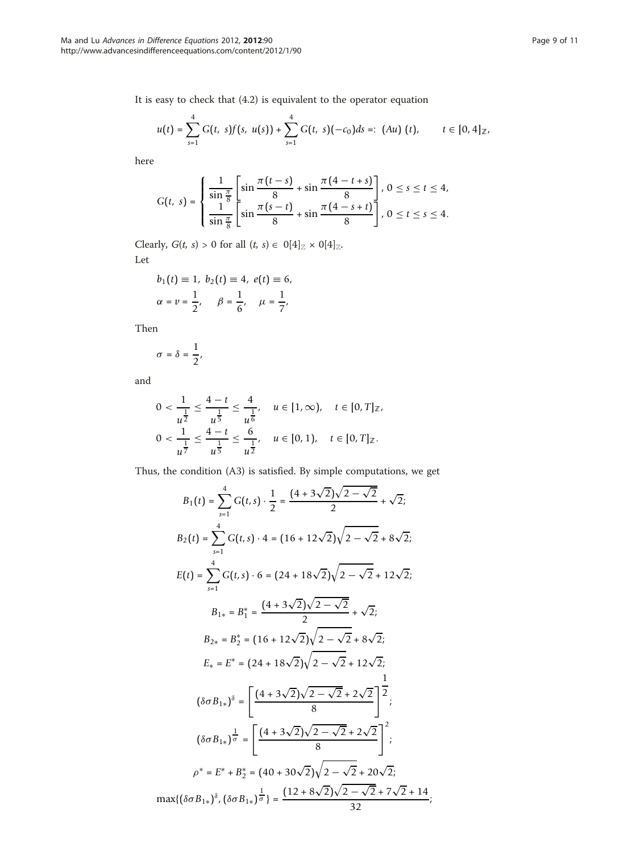It is easy to check that (4.2) is equivalent to the operator equation

$$
u(t) = \sum_{s=1}^{4} G(t, s) f(s, u(s)) + \sum_{s=1}^{4} G(t, s) (-c_0) ds =: (Au) (t), \qquad t \in [0, 4]_{\mathbb{Z}},
$$

here

$$
G(t, s) = \begin{cases} \frac{1}{\sin \frac{\pi}{8}} \left[ \sin \frac{\pi (t - s)}{8} + \sin \frac{\pi (4 - t + s)}{8} \right], 0 \le s \le t \le 4, \\ \frac{1}{\sin \frac{\pi}{8}} \left[ \sin \frac{\pi (s - t)}{8} + \sin \frac{\pi (4 - s + t)}{8} \right], 0 \le t \le s \le 4. \end{cases}
$$

Clearly,  $G(t, s) > 0$  for all  $(t, s) \in 0[4]_{\mathbb{Z}} \times 0[4]_{\mathbb{Z}}$  $(t, s) \in 0[4]_{\mathbb{Z}} \times 0[4]_{\mathbb{Z}}$  $(t, s) \in 0[4]_{\mathbb{Z}} \times 0[4]_{\mathbb{Z}}$  $(t, s) \in 0[4]_{\mathbb{Z}} \times 0[4]_{\mathbb{Z}}$  $(t, s) \in 0[4]_{\mathbb{Z}} \times 0[4]_{\mathbb{Z}}$ . Let

$$
b_1(t) \equiv 1, b_2(t) \equiv 4, e(t) \equiv 6,
$$
  
\n $\alpha = \nu = \frac{1}{2}, \quad \beta = \frac{1}{6}, \quad \mu = \frac{1}{7},$ 

Then

$$
\sigma = \delta = \frac{1}{2},
$$

and

$$
0 < \frac{1}{u^{\frac{1}{2}}} \le \frac{4-t}{u^{\frac{1}{5}}} \le \frac{4}{u^{\frac{1}{6}}}, \quad u \in [1, \infty), \quad t \in [0, T]_{\mathbb{Z}},
$$
\n
$$
0 < \frac{1}{u^{\frac{1}{7}}} \le \frac{4-t}{u^{\frac{1}{5}}} \le \frac{6}{u^{\frac{1}{2}}}, \quad u \in [0, 1), \quad t \in [0, T]_{\mathbb{Z}}.
$$

Thus, the condition (A3) is satisfied. By simple computations, we get

$$
B_1(t) = \sum_{s=1}^{4} G(t,s) \cdot \frac{1}{2} = \frac{(4+3\sqrt{2})\sqrt{2-\sqrt{2}}}{2} + \sqrt{2};
$$
  
\n
$$
B_2(t) = \sum_{s=1}^{4} G(t,s) \cdot 4 = (16+12\sqrt{2})\sqrt{2-\sqrt{2}} + 8\sqrt{2};
$$
  
\n
$$
E(t) = \sum_{s=1}^{4} G(t,s) \cdot 6 = (24+18\sqrt{2})\sqrt{2-\sqrt{2}} + 12\sqrt{2};
$$
  
\n
$$
B_{1*} = B_1^* = \frac{(4+3\sqrt{2})\sqrt{2-\sqrt{2}}}{2} + \sqrt{2};
$$
  
\n
$$
B_{2*} = B_2^* = (16+12\sqrt{2})\sqrt{2-\sqrt{2}} + 8\sqrt{2};
$$
  
\n
$$
E_* = E^* = (24+18\sqrt{2})\sqrt{2-\sqrt{2}} + 12\sqrt{2};
$$
  
\n
$$
(\delta \sigma B_{1*})^{\delta} = \left[ \frac{(4+3\sqrt{2})\sqrt{2-\sqrt{2}} + 2\sqrt{2}}{8} \right]^{\frac{1}{2}};
$$
  
\n
$$
(\delta \sigma B_{1*})^{\frac{1}{\sigma}} = \left[ \frac{(4+3\sqrt{2})\sqrt{2-\sqrt{2}} + 2\sqrt{2}}{8} \right]^2;
$$
  
\n
$$
\rho^* = E^* + B_2^* = (40+30\sqrt{2})\sqrt{2-\sqrt{2}} + 20\sqrt{2};
$$
  
\n
$$
\max\{(\delta \sigma B_{1*})^{\delta}, (\delta \sigma B_{1*})^{\frac{1}{\sigma}}\} = \frac{(12+8\sqrt{2})\sqrt{2-\sqrt{2}} + 7\sqrt{2} + 14}{32};
$$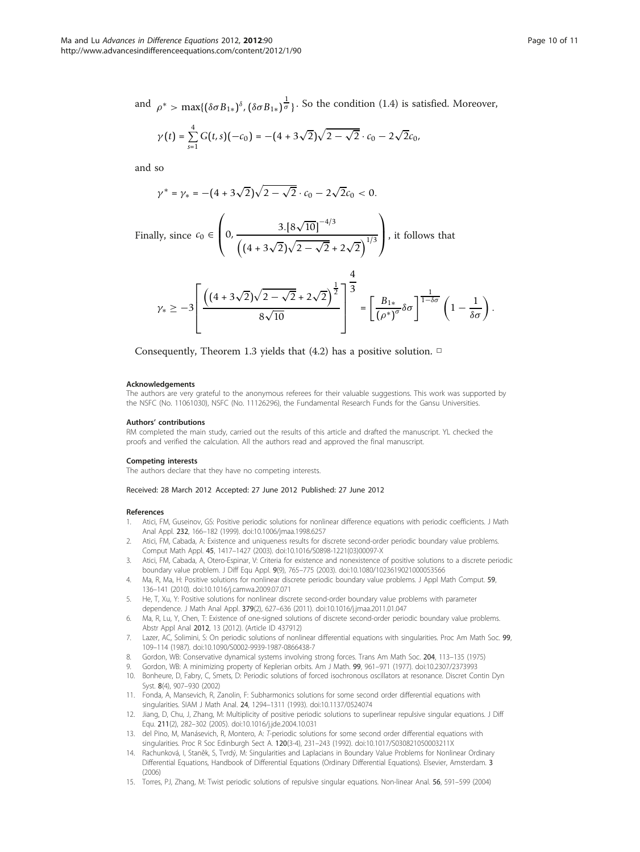<span id="page-9-0"></span>and  $\rho^* > \max\{(\delta \sigma B_{1*})^{\delta}, (\delta \sigma B_{1*})^{\frac{1}{\sigma}}\}$ . So the condition (1.4) is satisfied. Moreover,

$$
\gamma(t) = \sum_{s=1}^{4} G(t,s)(-c_0) = -(4+3\sqrt{2})\sqrt{2-\sqrt{2}} \cdot c_0 - 2\sqrt{2}c_0,
$$

and so

$$
\gamma^* = \gamma_* = -(4 + 3\sqrt{2})\sqrt{2 - \sqrt{2}} \cdot c_0 - 2\sqrt{2}c_0 < 0.
$$

Finally, since 
$$
c_0 \in \left(0, \frac{3.8\sqrt{10} \, \text{m}^{-4/3}}{\left((4 + 3\sqrt{2})\sqrt{2} - \sqrt{2} + 2\sqrt{2}\right)^{1/3}}\right)
$$
, it follows that

$$
\gamma_* \geq -3\left[\frac{\left((4+3\sqrt{2})\sqrt{2-\sqrt{2}}+2\sqrt{2}\right)^{\frac{1}{2}}}{8\sqrt{10}}\right]^{\frac{1}{3}} = \left[\frac{B_{1*}}{(\rho^*)^\sigma}\delta\sigma\right]^{\frac{1}{1-\delta\sigma}}\left(1-\frac{1}{\delta\sigma}\right).
$$

 $\Delta$ 

Consequently, Theorem 1.3 yields that (4.2) has a positive solution.  $\Box$ 

#### Acknowledgements

The authors are very grateful to the anonymous referees for their valuable suggestions. This work was supported by the NSFC (No. 11061030), NSFC (No. 11126296), the Fundamental Research Funds for the Gansu Universities.

#### Authors' contributions

RM completed the main study, carried out the results of this article and drafted the manuscript. YL checked the proofs and verified the calculation. All the authors read and approved the final manuscript.

#### Competing interests

The authors declare that they have no competing interests.

#### Received: 28 March 2012 Accepted: 27 June 2012 Published: 27 June 2012

#### References

- Atici, FM, Guseinov, GS: Positive periodic solutions for nonlinear difference equations with periodic coefficients. J Math Anal Appl. 232, 166–182 (1999). doi:10.1006/jmaa.1998.6257
- 2. Atici, FM, Cabada, A: Existence and uniqueness results for discrete second-order periodic boundary value problems. Comput Math Appl. 45, 1417–1427 (2003). doi:10.1016/S0898-1221(03)00097-X
- 3. Atici, FM, Cabada, A, Otero-Espinar, V: Criteria for existence and nonexistence of positive solutions to a discrete periodic boundary value problem. J Diff Equ Appl. 9(9), 765–775 (2003). doi:10.1080/1023619021000053566
- 4. Ma, R, Ma, H: Positive solutions for nonlinear discrete periodic boundary value problems. J Appl Math Comput. 59, 136–141 (2010). doi:10.1016/j.camwa.2009.07.071
- He, T, Xu, Y: Positive solutions for nonlinear discrete second-order boundary value problems with parameter dependence. J Math Anal Appl. 379(2), 627–636 (2011). doi:10.1016/j.jmaa.2011.01.047
- 6. Ma, R, Lu, Y, Chen, T: Existence of one-signed solutions of discrete second-order periodic boundary value problems. Abstr Appl Anal 2012, 13 (2012). (Article ID 437912)
- 7. Lazer, AC, Solimini, S: On periodic solutions of nonlinear differential equations with singularities. Proc Am Math Soc. 99, 109–114 (1987). doi:10.1090/S0002-9939-1987-0866438-7
- 8. Gordon, WB: Conservative dynamical systems involving strong forces. Trans Am Math Soc. 204, 113–135 (1975)
- 9. Gordon, WB: A minimizing property of Keplerian orbits. Am J Math. 99, 961–971 (1977). doi:10.2307/2373993
- 10. Bonheure, D, Fabry, C, Smets, D: Periodic solutions of forced isochronous oscillators at resonance. Discret Contin Dyn Syst. 8(4), 907–930 (2002)
- 11. Fonda, A, Mansevich, R, Zanolin, F: Subharmonics solutions for some second order differential equations with singularities. SIAM J Math Anal. 24, 1294–1311 (1993). doi:10.1137/0524074
- 12. Jiang, D, Chu, J, Zhang, M: Multiplicity of positive periodic solutions to superlinear repulsive singular equations. J Diff Equ. 211(2), 282–302 (2005). doi:10.1016/j.jde.2004.10.031
- 13. del Pino, M, Manásevich, R, Montero, A: T-periodic solutions for some second order differential equations with singularities. Proc R Soc Edinburgh Sect A. 120(3-4), 231–243 (1992). doi:10.1017/S030821050003211X
- 14. Rachunková, I, Staněk, S, Tvrdý, M: Singularities and Laplacians in Boundary Value Problems for Nonlinear Ordinary Differential Equations, Handbook of Differential Equations (Ordinary Differential Equations). Elsevier, Amsterdam. 3 (2006)
- 15. Torres, PJ, Zhang, M: Twist periodic solutions of repulsive singular equations. Non-linear Anal. 56, 591–599 (2004)